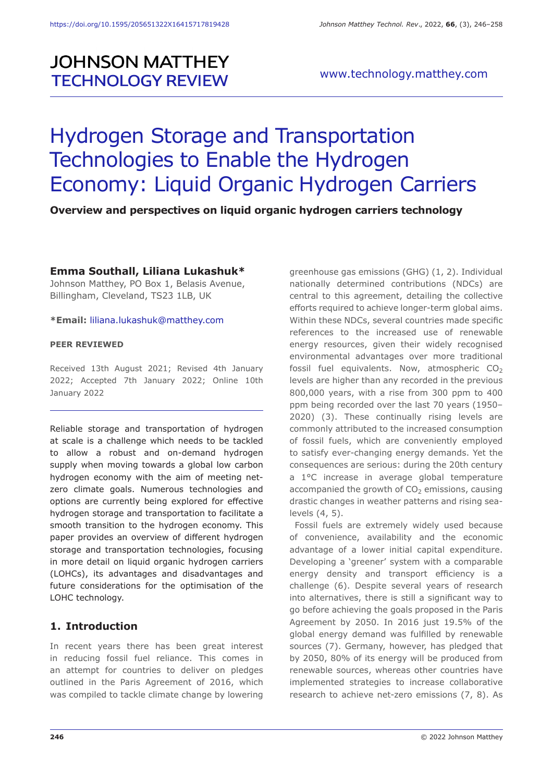# **JOHNSON MATTHEY TECHNOLOGY REVIEW**

# Hydrogen Storage and Transportation Technologies to Enable the Hydrogen Economy: Liquid Organic Hydrogen Carriers

#### **Overview and perspectives on liquid organic hydrogen carriers technology**

#### **Emma Southall, Liliana Lukashuk\***

Johnson Matthey, PO Box 1, Belasis Avenue, Billingham, Cleveland, TS23 1LB, UK

#### **\*Email:** liliana.lukashuk@matthey.com

#### **PEER REVIEWED**

Received 13th August 2021; Revised 4th January 2022; Accepted 7th January 2022; Online 10th January 2022

Reliable storage and transportation of hydrogen at scale is a challenge which needs to be tackled to allow a robust and on-demand hydrogen supply when moving towards a global low carbon hydrogen economy with the aim of meeting netzero climate goals. Numerous technologies and options are currently being explored for effective hydrogen storage and transportation to facilitate a smooth transition to the hydrogen economy. This paper provides an overview of different hydrogen storage and transportation technologies, focusing in more detail on liquid organic hydrogen carriers (LOHCs), its advantages and disadvantages and future considerations for the optimisation of the LOHC technology.

#### **1. Introduction**

In recent years there has been great interest in reducing fossil fuel reliance. This comes in an attempt for countries to deliver on pledges outlined in the Paris Agreement of 2016, which was compiled to tackle climate change by lowering greenhouse gas emissions (GHG) (1, 2). Individual nationally determined contributions (NDCs) are central to this agreement, detailing the collective efforts required to achieve longer-term global aims. Within these NDCs, several countries made specific references to the increased use of renewable energy resources, given their widely recognised environmental advantages over more traditional fossil fuel equivalents. Now, atmospheric  $CO<sub>2</sub>$ levels are higher than any recorded in the previous 800,000 years, with a rise from 300 ppm to 400 ppm being recorded over the last 70 years (1950– 2020) (3). These continually rising levels are commonly attributed to the increased consumption of fossil fuels, which are conveniently employed to satisfy ever-changing energy demands. Yet the consequences are serious: during the 20th century a 1°C increase in average global temperature accompanied the growth of  $CO<sub>2</sub>$  emissions, causing drastic changes in weather patterns and rising sealevels (4, 5).

Fossil fuels are extremely widely used because of convenience, availability and the economic advantage of a lower initial capital expenditure. Developing a 'greener' system with a comparable energy density and transport efficiency is a challenge (6). Despite several years of research into alternatives, there is still a significant way to go before achieving the goals proposed in the Paris Agreement by 2050. In 2016 just 19.5% of the global energy demand was fulfilled by renewable sources (7). Germany, however, has pledged that by 2050, 80% of its energy will be produced from renewable sources, whereas other countries have implemented strategies to increase collaborative research to achieve net-zero emissions (7, 8). As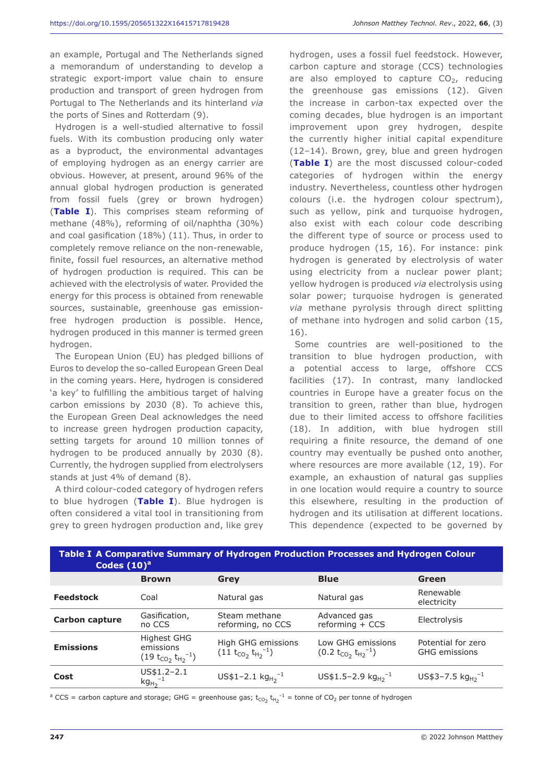an example, Portugal and The Netherlands signed a memorandum of understanding to develop a strategic export-import value chain to ensure production and transport of green hydrogen from Portugal to The Netherlands and its hinterland *via* the ports of Sines and Rotterdam (9).

Hydrogen is a well-studied alternative to fossil fuels. With its combustion producing only water as a byproduct, the environmental advantages of employing hydrogen as an energy carrier are obvious. However, at present, around 96% of the annual global hydrogen production is generated from fossil fuels (grey or brown hydrogen) (**Table I**). This comprises steam reforming of methane (48%), reforming of oil/naphtha (30%) and coal gasification (18%) (11). Thus, in order to completely remove reliance on the non-renewable, finite, fossil fuel resources, an alternative method of hydrogen production is required. This can be achieved with the electrolysis of water. Provided the energy for this process is obtained from renewable sources, sustainable, greenhouse gas emissionfree hydrogen production is possible. Hence, hydrogen produced in this manner is termed green hydrogen.

The European Union (EU) has pledged billions of Euros to develop the so-called European Green Deal in the coming years. Here, hydrogen is considered 'a key' to fulfilling the ambitious target of halving carbon emissions by 2030 (8). To achieve this, the European Green Deal acknowledges the need to increase green hydrogen production capacity, setting targets for around 10 million tonnes of hydrogen to be produced annually by 2030 (8). Currently, the hydrogen supplied from electrolysers stands at just 4% of demand (8).

A third colour-coded category of hydrogen refers to blue hydrogen (**Table I**). Blue hydrogen is often considered a vital tool in transitioning from grey to green hydrogen production and, like grey hydrogen, uses a fossil fuel feedstock. However, carbon capture and storage (CCS) technologies are also employed to capture  $CO<sub>2</sub>$ , reducing the greenhouse gas emissions (12). Given the increase in carbon-tax expected over the coming decades, blue hydrogen is an important improvement upon grey hydrogen, despite the currently higher initial capital expenditure (12–14). Brown, grey, blue and green hydrogen (**Table I**) are the most discussed colour-coded categories of hydrogen within the energy industry. Nevertheless, countless other hydrogen colours (i.e. the hydrogen colour spectrum), such as yellow, pink and turquoise hydrogen, also exist with each colour code describing the different type of source or process used to produce hydrogen (15, 16). For instance: pink hydrogen is generated by electrolysis of water using electricity from a nuclear power plant; yellow hydrogen is produced *via* electrolysis using solar power; turquoise hydrogen is generated *via* methane pyrolysis through direct splitting of methane into hydrogen and solid carbon (15, 16).

Some countries are well-positioned to the transition to blue hydrogen production, with a potential access to large, offshore CCS facilities (17). In contrast, many landlocked countries in Europe have a greater focus on the transition to green, rather than blue, hydrogen due to their limited access to offshore facilities (18). In addition, with blue hydrogen still requiring a finite resource, the demand of one country may eventually be pushed onto another, where resources are more available (12, 19). For example, an exhaustion of natural gas supplies in one location would require a country to source this elsewhere, resulting in the production of hydrogen and its utilisation at different locations. This dependence (expected to be governed by

| Table I A Comparative Summary of Hydrogen Production Processes and Hydrogen Colour<br>Codes $(10)^a$ |                                                        |                                                  |                                                  |                                            |  |
|------------------------------------------------------------------------------------------------------|--------------------------------------------------------|--------------------------------------------------|--------------------------------------------------|--------------------------------------------|--|
|                                                                                                      | <b>Brown</b>                                           | Grey                                             | <b>Blue</b>                                      | Green                                      |  |
| <b>Feedstock</b>                                                                                     | Coal                                                   | Natural gas                                      | Natural gas                                      | Renewable<br>electricity                   |  |
| <b>Carbon capture</b>                                                                                | Gasification,<br>no CCS                                | Steam methane<br>reforming, no CCS               | Advanced gas<br>$reforming + CCS$                | Electrolysis                               |  |
| <b>Emissions</b>                                                                                     | Highest GHG<br>emissions<br>$(19 t_{CO2} t_{H2}^{-1})$ | High GHG emissions<br>$(11 t_{CO2} t_{H2}^{-1})$ | Low GHG emissions<br>$(0.2 t_{CO2} t_{H2}^{-1})$ | Potential for zero<br><b>GHG</b> emissions |  |
| Cost                                                                                                 | $US$1.2-2.1$<br>$kg_{H_2}^{-1}$                        | US\$1-2.1 $kg_{H2}^{-1}$                         | US\$1.5-2.9 $kg_{H2}^{-1}$                       | US\$3-7.5 $kg_{H2}^{-1}$                   |  |

 $^a$  CCS = carbon capture and storage; GHG = greenhouse gas;  $t_{CO_2}$   $t_{H_2}$ <sup>-1</sup> = tonne of CO<sub>2</sub> per tonne of hydrogen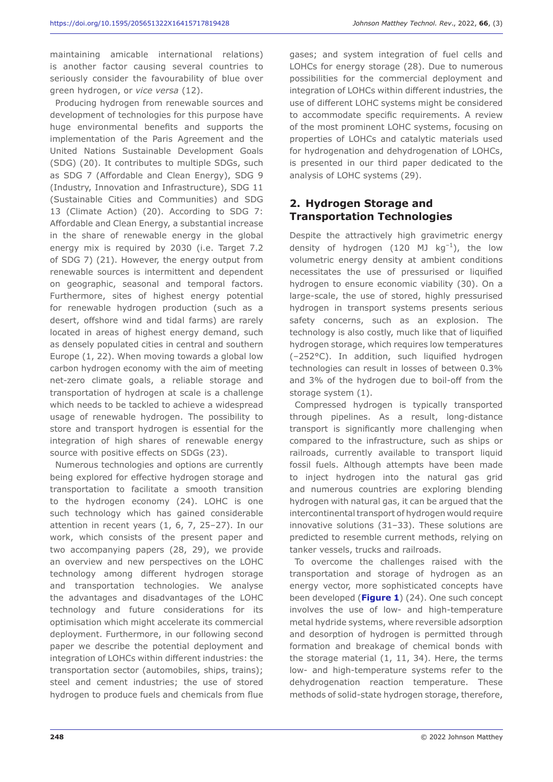maintaining amicable international relations) is another factor causing several countries to seriously consider the favourability of blue over green hydrogen, or *vice versa* (12).

Producing hydrogen from renewable sources and development of technologies for this purpose have huge environmental benefits and supports the implementation of the Paris Agreement and the United Nations Sustainable Development Goals (SDG) (20). It contributes to multiple SDGs, such as SDG 7 (Affordable and Clean Energy), SDG 9 (Industry, Innovation and Infrastructure), SDG 11 (Sustainable Cities and Communities) and SDG 13 (Climate Action) (20). According to SDG 7: Affordable and Clean Energy, a substantial increase in the share of renewable energy in the global energy mix is required by 2030 (i.e. Target 7.2 of SDG 7) (21). However, the energy output from renewable sources is intermittent and dependent on geographic, seasonal and temporal factors. Furthermore, sites of highest energy potential for renewable hydrogen production (such as a desert, offshore wind and tidal farms) are rarely located in areas of highest energy demand, such as densely populated cities in central and southern Europe (1, 22). When moving towards a global low carbon hydrogen economy with the aim of meeting net-zero climate goals, a reliable storage and transportation of hydrogen at scale is a challenge which needs to be tackled to achieve a widespread usage of renewable hydrogen. The possibility to store and transport hydrogen is essential for the integration of high shares of renewable energy source with positive effects on SDGs (23).

Numerous technologies and options are currently being explored for effective hydrogen storage and transportation to facilitate a smooth transition to the hydrogen economy (24). LOHC is one such technology which has gained considerable attention in recent years (1, 6, 7, 25–27). In our work, which consists of the present paper and two accompanying papers (28, 29), we provide an overview and new perspectives on the LOHC technology among different hydrogen storage and transportation technologies. We analyse the advantages and disadvantages of the LOHC technology and future considerations for its optimisation which might accelerate its commercial deployment. Furthermore, in our following second paper we describe the potential deployment and integration of LOHCs within different industries: the transportation sector (automobiles, ships, trains); steel and cement industries; the use of stored hydrogen to produce fuels and chemicals from flue

gases; and system integration of fuel cells and LOHCs for energy storage (28). Due to numerous possibilities for the commercial deployment and integration of LOHCs within different industries, the use of different LOHC systems might be considered to accommodate specific requirements. A review of the most prominent LOHC systems, focusing on properties of LOHCs and catalytic materials used for hydrogenation and dehydrogenation of LOHCs, is presented in our third paper dedicated to the analysis of LOHC systems (29).

# **2. Hydrogen Storage and Transportation Technologies**

Despite the attractively high gravimetric energy density of hydrogen (120 MJ  $kg^{-1}$ ), the low volumetric energy density at ambient conditions necessitates the use of pressurised or liquified hydrogen to ensure economic viability (30). On a large-scale, the use of stored, highly pressurised hydrogen in transport systems presents serious safety concerns, such as an explosion. The technology is also costly, much like that of liquified hydrogen storage, which requires low temperatures (–252°C). In addition, such liquified hydrogen technologies can result in losses of between 0.3% and 3% of the hydrogen due to boil-off from the storage system (1).

Compressed hydrogen is typically transported through pipelines. As a result, long-distance transport is significantly more challenging when compared to the infrastructure, such as ships or railroads, currently available to transport liquid fossil fuels. Although attempts have been made to inject hydrogen into the natural gas grid and numerous countries are exploring blending hydrogen with natural gas, it can be argued that the intercontinental transport of hydrogen would require innovative solutions (31–33). These solutions are predicted to resemble current methods, relying on tanker vessels, trucks and railroads.

To overcome the challenges raised with the transportation and storage of hydrogen as an energy vector, more sophisticated concepts have been developed (**Figure 1**) (24). One such concept involves the use of low- and high-temperature metal hydride systems, where reversible adsorption and desorption of hydrogen is permitted through formation and breakage of chemical bonds with the storage material (1, 11, 34). Here, the terms low- and high-temperature systems refer to the dehydrogenation reaction temperature. These methods of solid-state hydrogen storage, therefore,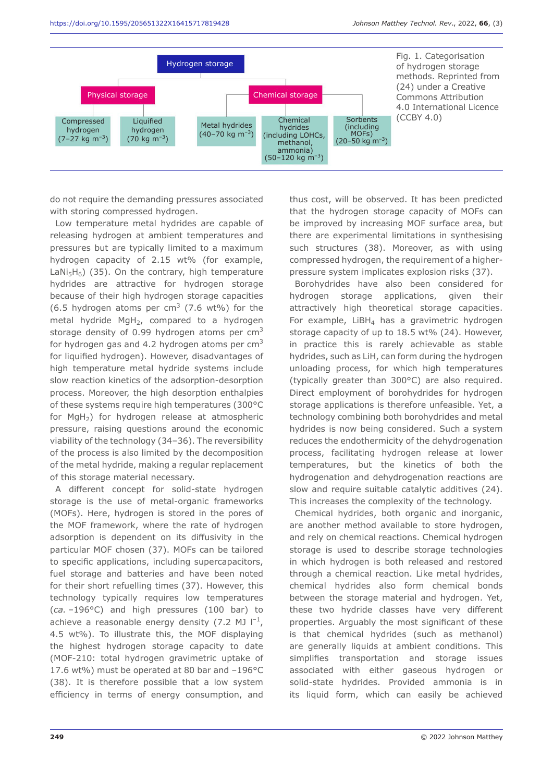

do not require the demanding pressures associated with storing compressed hydrogen.

Low temperature metal hydrides are capable of releasing hydrogen at ambient temperatures and pressures but are typically limited to a maximum hydrogen capacity of 2.15 wt% (for example, LaNi<sub>5</sub>H<sub>6</sub>) (35). On the contrary, high temperature hydrides are attractive for hydrogen storage because of their high hydrogen storage capacities (6.5 hydrogen atoms per cm<sup>3</sup> (7.6 wt%) for the metal hydride MgH<sub>2</sub>, compared to a hydrogen storage density of 0.99 hydrogen atoms per  $cm<sup>3</sup>$ for hydrogen gas and 4.2 hydrogen atoms per  $cm<sup>3</sup>$ for liquified hydrogen). However, disadvantages of high temperature metal hydride systems include slow reaction kinetics of the adsorption-desorption process. Moreover, the high desorption enthalpies of these systems require high temperatures (300°C for  $MgH<sub>2</sub>$ ) for hydrogen release at atmospheric pressure, raising questions around the economic viability of the technology (34–36). The reversibility of the process is also limited by the decomposition of the metal hydride, making a regular replacement of this storage material necessary.

A different concept for solid-state hydrogen storage is the use of metal-organic frameworks (MOFs). Here, hydrogen is stored in the pores of the MOF framework, where the rate of hydrogen adsorption is dependent on its diffusivity in the particular MOF chosen (37). MOFs can be tailored to specific applications, including supercapacitors, fuel storage and batteries and have been noted for their short refuelling times (37). However, this technology typically requires low temperatures (*ca.* –196°C) and high pressures (100 bar) to achieve a reasonable energy density (7.2 MJ  $I^{-1}$ , 4.5 wt%). To illustrate this, the MOF displaying the highest hydrogen storage capacity to date (MOF-210: total hydrogen gravimetric uptake of 17.6 wt%) must be operated at 80 bar and –196°C (38). It is therefore possible that a low system efficiency in terms of energy consumption, and

thus cost, will be observed. It has been predicted that the hydrogen storage capacity of MOFs can be improved by increasing MOF surface area, but there are experimental limitations in synthesising such structures (38). Moreover, as with using compressed hydrogen, the requirement of a higherpressure system implicates explosion risks (37).

Borohydrides have also been considered for hydrogen storage applications, given their attractively high theoretical storage capacities. For example,  $LiBH<sub>4</sub>$  has a gravimetric hydrogen storage capacity of up to 18.5 wt% (24). However, in practice this is rarely achievable as stable hydrides, such as LiH, can form during the hydrogen unloading process, for which high temperatures (typically greater than 300°C) are also required. Direct employment of borohydrides for hydrogen storage applications is therefore unfeasible. Yet, a technology combining both borohydrides and metal hydrides is now being considered. Such a system reduces the endothermicity of the dehydrogenation process, facilitating hydrogen release at lower temperatures, but the kinetics of both the hydrogenation and dehydrogenation reactions are slow and require suitable catalytic additives (24). This increases the complexity of the technology.

Chemical hydrides, both organic and inorganic, are another method available to store hydrogen, and rely on chemical reactions. Chemical hydrogen storage is used to describe storage technologies in which hydrogen is both released and restored through a chemical reaction. Like metal hydrides, chemical hydrides also form chemical bonds between the storage material and hydrogen. Yet, these two hydride classes have very different properties. Arguably the most significant of these is that chemical hydrides (such as methanol) are generally liquids at ambient conditions. This simplifies transportation and storage issues associated with either gaseous hydrogen or solid-state hydrides. Provided ammonia is in its liquid form, which can easily be achieved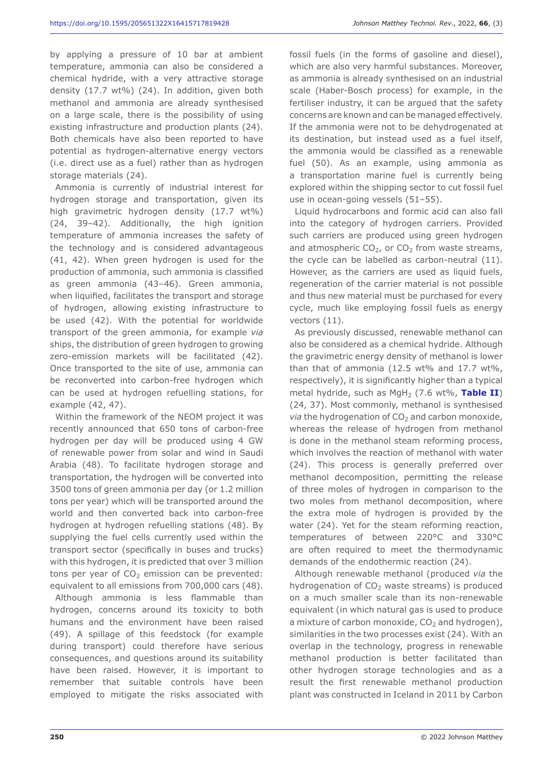by applying a pressure of 10 bar at ambient temperature, ammonia can also be considered a chemical hydride, with a very attractive storage density (17.7 wt%) (24). In addition, given both methanol and ammonia are already synthesised on a large scale, there is the possibility of using existing infrastructure and production plants (24). Both chemicals have also been reported to have potential as hydrogen-alternative energy vectors (i.e. direct use as a fuel) rather than as hydrogen storage materials (24).

Ammonia is currently of industrial interest for hydrogen storage and transportation, given its high gravimetric hydrogen density (17.7 wt%) (24, 39–42). Additionally, the high ignition temperature of ammonia increases the safety of the technology and is considered advantageous (41, 42). When green hydrogen is used for the production of ammonia, such ammonia is classified as green ammonia (43–46). Green ammonia, when liquified, facilitates the transport and storage of hydrogen, allowing existing infrastructure to be used (42). With the potential for worldwide transport of the green ammonia, for example *via* ships, the distribution of green hydrogen to growing zero-emission markets will be facilitated (42). Once transported to the site of use, ammonia can be reconverted into carbon-free hydrogen which can be used at hydrogen refuelling stations, for example (42, 47).

Within the framework of the NEOM project it was recently announced that 650 tons of carbon-free hydrogen per day will be produced using 4 GW of renewable power from solar and wind in Saudi Arabia (48). To facilitate hydrogen storage and transportation, the hydrogen will be converted into 3500 tons of green ammonia per day (or 1.2 million tons per year) which will be transported around the world and then converted back into carbon-free hydrogen at hydrogen refuelling stations (48). By supplying the fuel cells currently used within the transport sector (specifically in buses and trucks) with this hydrogen, it is predicted that over 3 million tons per year of  $CO<sub>2</sub>$  emission can be prevented: equivalent to all emissions from 700,000 cars (48).

Although ammonia is less flammable than hydrogen, concerns around its toxicity to both humans and the environment have been raised (49). A spillage of this feedstock (for example during transport) could therefore have serious consequences, and questions around its suitability have been raised. However, it is important to remember that suitable controls have been employed to mitigate the risks associated with

fossil fuels (in the forms of gasoline and diesel), which are also very harmful substances. Moreover, as ammonia is already synthesised on an industrial scale (Haber-Bosch process) for example, in the fertiliser industry, it can be argued that the safety concerns are known and can be managed effectively. If the ammonia were not to be dehydrogenated at its destination, but instead used as a fuel itself, the ammonia would be classified as a renewable fuel (50). As an example, using ammonia as a transportation marine fuel is currently being explored within the shipping sector to cut fossil fuel use in ocean-going vessels (51–55).

Liquid hydrocarbons and formic acid can also fall into the category of hydrogen carriers. Provided such carriers are produced using green hydrogen and atmospheric  $CO<sub>2</sub>$ , or  $CO<sub>2</sub>$  from waste streams, the cycle can be labelled as carbon-neutral (11). However, as the carriers are used as liquid fuels, regeneration of the carrier material is not possible and thus new material must be purchased for every cycle, much like employing fossil fuels as energy vectors (11).

As previously discussed, renewable methanol can also be considered as a chemical hydride. Although the gravimetric energy density of methanol is lower than that of ammonia (12.5 wt% and 17.7 wt%, respectively), it is significantly higher than a typical metal hydride, such as MgH<sub>2</sub> (7.6 wt%, Table II) (24, 37). Most commonly, methanol is synthesised *via* the hydrogenation of CO<sub>2</sub> and carbon monoxide, whereas the release of hydrogen from methanol is done in the methanol steam reforming process, which involves the reaction of methanol with water (24). This process is generally preferred over methanol decomposition, permitting the release of three moles of hydrogen in comparison to the two moles from methanol decomposition, where the extra mole of hydrogen is provided by the water (24). Yet for the steam reforming reaction, temperatures of between 220°C and 330°C are often required to meet the thermodynamic demands of the endothermic reaction (24).

Although renewable methanol (produced *via* the hydrogenation of  $CO<sub>2</sub>$  waste streams) is produced on a much smaller scale than its non-renewable equivalent (in which natural gas is used to produce a mixture of carbon monoxide,  $CO<sub>2</sub>$  and hydrogen), similarities in the two processes exist (24). With an overlap in the technology, progress in renewable methanol production is better facilitated than other hydrogen storage technologies and as a result the first renewable methanol production plant was constructed in Iceland in 2011 by Carbon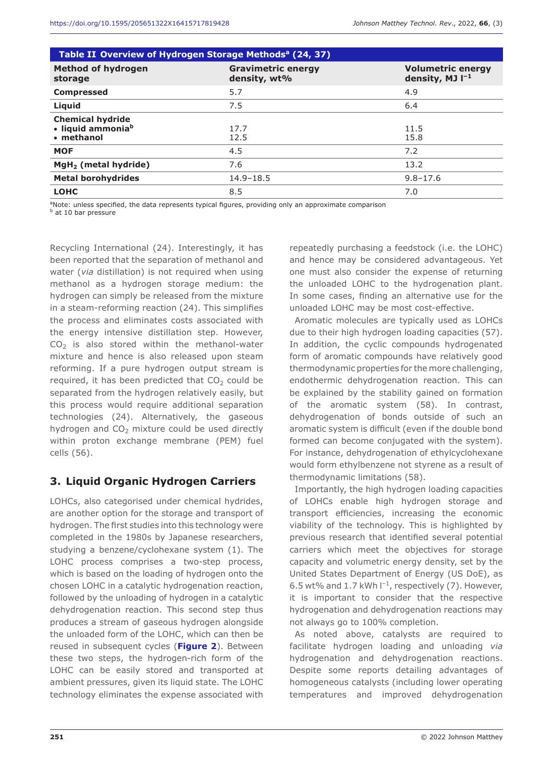| Table II Overview of Hydrogen Storage Methods <sup>a</sup> (24, 37)    |                                           |                                                  |  |  |
|------------------------------------------------------------------------|-------------------------------------------|--------------------------------------------------|--|--|
| <b>Method of hydrogen</b><br>storage                                   | <b>Gravimetric energy</b><br>density, wt% | <b>Volumetric energy</b><br>density, MJ $I^{-1}$ |  |  |
| <b>Compressed</b>                                                      | 5.7                                       | 4.9                                              |  |  |
| Liquid                                                                 | 7.5                                       | 6.4                                              |  |  |
| <b>Chemical hydride</b><br>· liquid ammonia <sup>b</sup><br>• methanol | 17.7<br>12.5                              | 11.5<br>15.8                                     |  |  |
| <b>MOF</b>                                                             | 4.5                                       | 7.2                                              |  |  |
| $MgH2$ (metal hydride)                                                 | 7.6                                       | 13.2                                             |  |  |
| <b>Metal borohydrides</b>                                              | $14.9 - 18.5$                             | $9.8 - 17.6$                                     |  |  |
| <b>LOHC</b>                                                            | 8.5                                       | 7.0                                              |  |  |

<sup>a</sup>Note: unless specified, the data represents typical figures, providing only an approximate comparison

**b** at 10 bar pressure

Recycling International (24). Interestingly, it has been reported that the separation of methanol and water (*via* distillation) is not required when using methanol as a hydrogen storage medium: the hydrogen can simply be released from the mixture in a steam-reforming reaction (24). This simplifies the process and eliminates costs associated with the energy intensive distillation step. However,  $CO<sub>2</sub>$  is also stored within the methanol-water mixture and hence is also released upon steam reforming. If a pure hydrogen output stream is required, it has been predicted that  $CO<sub>2</sub>$  could be separated from the hydrogen relatively easily, but this process would require additional separation technologies (24). Alternatively, the gaseous hydrogen and  $CO<sub>2</sub>$  mixture could be used directly within proton exchange membrane (PEM) fuel cells (56).

## **3. Liquid Organic Hydrogen Carriers**

LOHCs, also categorised under chemical hydrides, are another option for the storage and transport of hydrogen. The first studies into this technology were completed in the 1980s by Japanese researchers, studying a benzene/cyclohexane system (1). The LOHC process comprises a two-step process, which is based on the loading of hydrogen onto the chosen LOHC in a catalytic hydrogenation reaction, followed by the unloading of hydrogen in a catalytic dehydrogenation reaction. This second step thus produces a stream of gaseous hydrogen alongside the unloaded form of the LOHC, which can then be reused in subsequent cycles (**Figure 2**). Between these two steps, the hydrogen-rich form of the LOHC can be easily stored and transported at ambient pressures, given its liquid state. The LOHC technology eliminates the expense associated with

repeatedly purchasing a feedstock (i.e. the LOHC) and hence may be considered advantageous. Yet one must also consider the expense of returning the unloaded LOHC to the hydrogenation plant. In some cases, finding an alternative use for the unloaded LOHC may be most cost-effective.

Aromatic molecules are typically used as LOHCs due to their high hydrogen loading capacities (57). In addition, the cyclic compounds hydrogenated form of aromatic compounds have relatively good thermodynamic properties for the more challenging, endothermic dehydrogenation reaction. This can be explained by the stability gained on formation of the aromatic system (58). In contrast, dehydrogenation of bonds outside of such an aromatic system is difficult (even if the double bond formed can become conjugated with the system). For instance, dehydrogenation of ethylcyclohexane would form ethylbenzene not styrene as a result of thermodynamic limitations (58).

Importantly, the high hydrogen loading capacities of LOHCs enable high hydrogen storage and transport efficiencies, increasing the economic viability of the technology. This is highlighted by previous research that identified several potential carriers which meet the objectives for storage capacity and volumetric energy density, set by the United States Department of Energy (US DoE), as 6.5 wt% and 1.7 kWh  $I^{-1}$ , respectively (7). However, it is important to consider that the respective hydrogenation and dehydrogenation reactions may not always go to 100% completion.

As noted above, catalysts are required to facilitate hydrogen loading and unloading *via* hydrogenation and dehydrogenation reactions. Despite some reports detailing advantages of homogeneous catalysts (including lower operating temperatures and improved dehydrogenation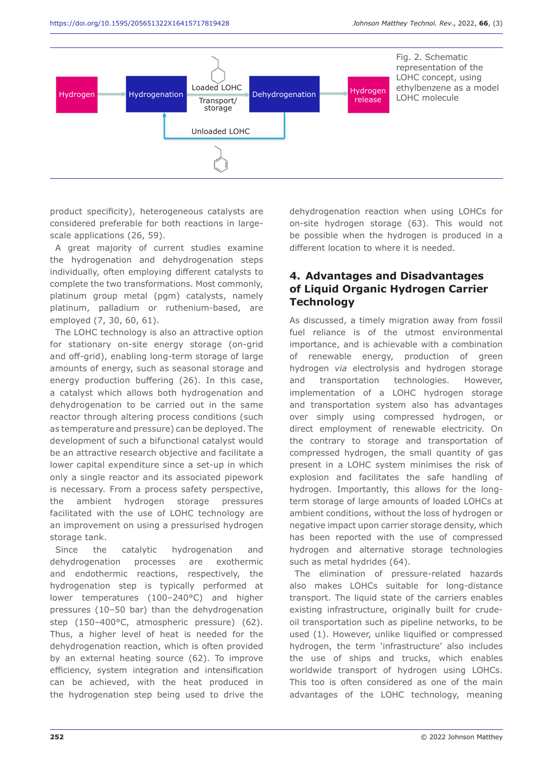

product specificity), heterogeneous catalysts are considered preferable for both reactions in largescale applications (26, 59).

A great majority of current studies examine the hydrogenation and dehydrogenation steps individually, often employing different catalysts to complete the two transformations. Most commonly, platinum group metal (pgm) catalysts, namely platinum, palladium or ruthenium-based, are employed (7, 30, 60, 61).

The LOHC technology is also an attractive option for stationary on-site energy storage (on-grid and off-grid), enabling long-term storage of large amounts of energy, such as seasonal storage and energy production buffering (26). In this case, a catalyst which allows both hydrogenation and dehydrogenation to be carried out in the same reactor through altering process conditions (such as temperature and pressure) can be deployed. The development of such a bifunctional catalyst would be an attractive research objective and facilitate a lower capital expenditure since a set-up in which only a single reactor and its associated pipework is necessary. From a process safety perspective, the ambient hydrogen storage pressures facilitated with the use of LOHC technology are an improvement on using a pressurised hydrogen storage tank.

Since the catalytic hydrogenation and dehydrogenation processes are exothermic and endothermic reactions, respectively, the hydrogenation step is typically performed at lower temperatures (100–240°C) and higher pressures (10–50 bar) than the dehydrogenation step (150–400°C, atmospheric pressure) (62). Thus, a higher level of heat is needed for the dehydrogenation reaction, which is often provided by an external heating source (62). To improve efficiency, system integration and intensification can be achieved, with the heat produced in the hydrogenation step being used to drive the

dehydrogenation reaction when using LOHCs for on-site hydrogen storage (63). This would not be possible when the hydrogen is produced in a different location to where it is needed.

#### **4. Advantages and Disadvantages of Liquid Organic Hydrogen Carrier Technology**

As discussed, a timely migration away from fossil fuel reliance is of the utmost environmental importance, and is achievable with a combination of renewable energy, production of green hydrogen *via* electrolysis and hydrogen storage and transportation technologies. However, implementation of a LOHC hydrogen storage and transportation system also has advantages over simply using compressed hydrogen, or direct employment of renewable electricity. On the contrary to storage and transportation of compressed hydrogen, the small quantity of gas present in a LOHC system minimises the risk of explosion and facilitates the safe handling of hydrogen. Importantly, this allows for the longterm storage of large amounts of loaded LOHCs at ambient conditions, without the loss of hydrogen or negative impact upon carrier storage density, which has been reported with the use of compressed hydrogen and alternative storage technologies such as metal hydrides (64).

The elimination of pressure-related hazards also makes LOHCs suitable for long-distance transport. The liquid state of the carriers enables existing infrastructure, originally built for crudeoil transportation such as pipeline networks, to be used (1). However, unlike liquified or compressed hydrogen, the term 'infrastructure' also includes the use of ships and trucks, which enables worldwide transport of hydrogen using LOHCs. This too is often considered as one of the main advantages of the LOHC technology, meaning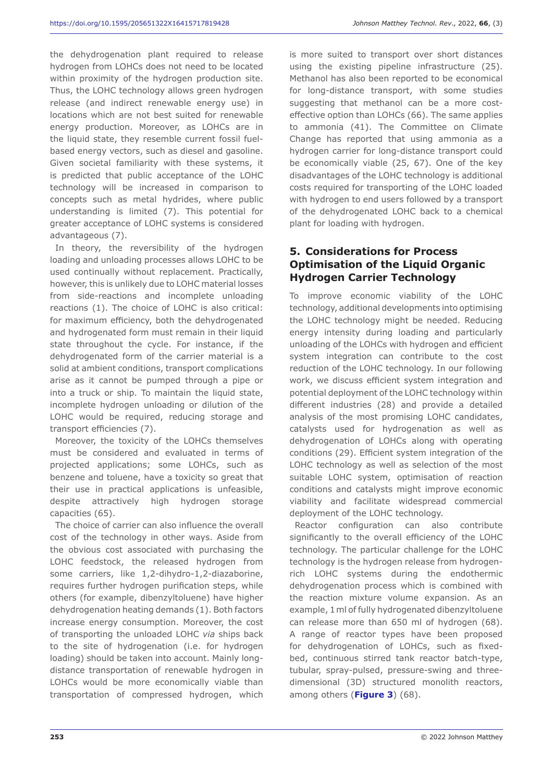the dehydrogenation plant required to release hydrogen from LOHCs does not need to be located within proximity of the hydrogen production site. Thus, the LOHC technology allows green hydrogen release (and indirect renewable energy use) in locations which are not best suited for renewable energy production. Moreover, as LOHCs are in the liquid state, they resemble current fossil fuelbased energy vectors, such as diesel and gasoline. Given societal familiarity with these systems, it is predicted that public acceptance of the LOHC technology will be increased in comparison to concepts such as metal hydrides, where public understanding is limited (7). This potential for greater acceptance of LOHC systems is considered advantageous (7).

In theory, the reversibility of the hydrogen loading and unloading processes allows LOHC to be used continually without replacement. Practically, however, this is unlikely due to LOHC material losses from side-reactions and incomplete unloading reactions (1). The choice of LOHC is also critical: for maximum efficiency, both the dehydrogenated and hydrogenated form must remain in their liquid state throughout the cycle. For instance, if the dehydrogenated form of the carrier material is a solid at ambient conditions, transport complications arise as it cannot be pumped through a pipe or into a truck or ship. To maintain the liquid state, incomplete hydrogen unloading or dilution of the LOHC would be required, reducing storage and transport efficiencies (7).

Moreover, the toxicity of the LOHCs themselves must be considered and evaluated in terms of projected applications; some LOHCs, such as benzene and toluene, have a toxicity so great that their use in practical applications is unfeasible, despite attractively high hydrogen storage capacities (65).

The choice of carrier can also influence the overall cost of the technology in other ways. Aside from the obvious cost associated with purchasing the LOHC feedstock, the released hydrogen from some carriers, like 1,2-dihydro-1,2-diazaborine, requires further hydrogen purification steps, while others (for example, dibenzyltoluene) have higher dehydrogenation heating demands (1). Both factors increase energy consumption. Moreover, the cost of transporting the unloaded LOHC *via* ships back to the site of hydrogenation (i.e. for hydrogen loading) should be taken into account. Mainly longdistance transportation of renewable hydrogen in LOHCs would be more economically viable than transportation of compressed hydrogen, which

is more suited to transport over short distances using the existing pipeline infrastructure (25). Methanol has also been reported to be economical for long-distance transport, with some studies suggesting that methanol can be a more costeffective option than LOHCs (66). The same applies to ammonia (41). The Committee on Climate Change has reported that using ammonia as a hydrogen carrier for long-distance transport could be economically viable (25, 67). One of the key disadvantages of the LOHC technology is additional costs required for transporting of the LOHC loaded with hydrogen to end users followed by a transport of the dehydrogenated LOHC back to a chemical plant for loading with hydrogen.

#### **5. Considerations for Process Optimisation of the Liquid Organic Hydrogen Carrier Technology**

To improve economic viability of the LOHC technology, additional developments into optimising the LOHC technology might be needed. Reducing energy intensity during loading and particularly unloading of the LOHCs with hydrogen and efficient system integration can contribute to the cost reduction of the LOHC technology. In our following work, we discuss efficient system integration and potential deployment of the LOHC technology within different industries (28) and provide a detailed analysis of the most promising LOHC candidates, catalysts used for hydrogenation as well as dehydrogenation of LOHCs along with operating conditions (29). Efficient system integration of the LOHC technology as well as selection of the most suitable LOHC system, optimisation of reaction conditions and catalysts might improve economic viability and facilitate widespread commercial deployment of the LOHC technology.

Reactor configuration can also contribute significantly to the overall efficiency of the LOHC technology. The particular challenge for the LOHC technology is the hydrogen release from hydrogenrich LOHC systems during the endothermic dehydrogenation process which is combined with the reaction mixture volume expansion. As an example, 1ml of fully hydrogenated dibenzyltoluene can release more than 650 ml of hydrogen (68). A range of reactor types have been proposed for dehydrogenation of LOHCs, such as fixedbed, continuous stirred tank reactor batch-type, tubular, spray-pulsed, pressure-swing and threedimensional (3D) structured monolith reactors, among others (**Figure 3**) (68).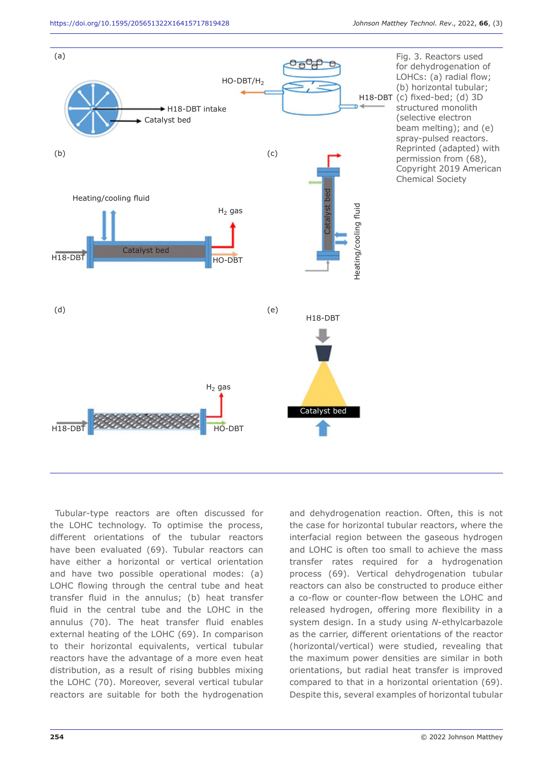

Tubular-type reactors are often discussed for the LOHC technology. To optimise the process, different orientations of the tubular reactors have been evaluated (69). Tubular reactors can have either a horizontal or vertical orientation and have two possible operational modes: (a) LOHC flowing through the central tube and heat transfer fluid in the annulus; (b) heat transfer fluid in the central tube and the LOHC in the annulus (70). The heat transfer fluid enables external heating of the LOHC (69). In comparison to their horizontal equivalents, vertical tubular reactors have the advantage of a more even heat distribution, as a result of rising bubbles mixing the LOHC (70). Moreover, several vertical tubular reactors are suitable for both the hydrogenation

and dehydrogenation reaction. Often, this is not the case for horizontal tubular reactors, where the interfacial region between the gaseous hydrogen and LOHC is often too small to achieve the mass transfer rates required for a hydrogenation process (69). Vertical dehydrogenation tubular reactors can also be constructed to produce either a co-flow or counter-flow between the LOHC and released hydrogen, offering more flexibility in a system design. In a study using *N*-ethylcarbazole as the carrier, different orientations of the reactor (horizontal/vertical) were studied, revealing that the maximum power densities are similar in both orientations, but radial heat transfer is improved compared to that in a horizontal orientation (69). Despite this, several examples of horizontal tubular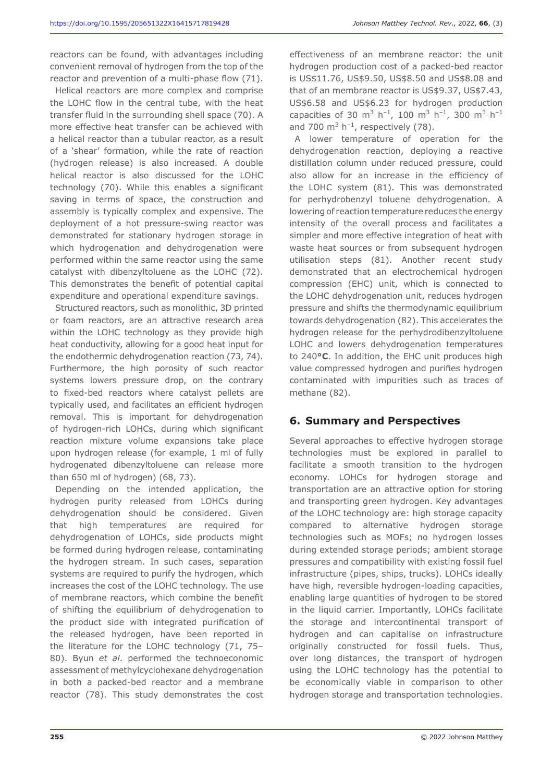reactors can be found, with advantages including convenient removal of hydrogen from the top of the reactor and prevention of a multi-phase flow (71).

Helical reactors are more complex and comprise the LOHC flow in the central tube, with the heat transfer fluid in the surrounding shell space (70). A more effective heat transfer can be achieved with a helical reactor than a tubular reactor, as a result of a 'shear' formation, while the rate of reaction (hydrogen release) is also increased. A double helical reactor is also discussed for the LOHC technology (70). While this enables a significant saving in terms of space, the construction and assembly is typically complex and expensive. The deployment of a hot pressure-swing reactor was demonstrated for stationary hydrogen storage in which hydrogenation and dehydrogenation were performed within the same reactor using the same catalyst with dibenzyltoluene as the LOHC (72). This demonstrates the benefit of potential capital expenditure and operational expenditure savings.

Structured reactors, such as monolithic, 3D printed or foam reactors, are an attractive research area within the LOHC technology as they provide high heat conductivity, allowing for a good heat input for the endothermic dehydrogenation reaction (73, 74). Furthermore, the high porosity of such reactor systems lowers pressure drop, on the contrary to fixed-bed reactors where catalyst pellets are typically used, and facilitates an efficient hydrogen removal. This is important for dehydrogenation of hydrogen-rich LOHCs, during which significant reaction mixture volume expansions take place upon hydrogen release (for example, 1 ml of fully hydrogenated dibenzyltoluene can release more than 650 ml of hydrogen) (68, 73).

Depending on the intended application, the hydrogen purity released from LOHCs during dehydrogenation should be considered. Given that high temperatures are required for dehydrogenation of LOHCs, side products might be formed during hydrogen release, contaminating the hydrogen stream. In such cases, separation systems are required to purify the hydrogen, which increases the cost of the LOHC technology. The use of membrane reactors, which combine the benefit of shifting the equilibrium of dehydrogenation to the product side with integrated purification of the released hydrogen, have been reported in the literature for the LOHC technology (71, 75– 80). Byun *et al*. performed the technoeconomic assessment of methylcyclohexane dehydrogenation in both a packed-bed reactor and a membrane reactor (78). This study demonstrates the cost effectiveness of an membrane reactor: the unit hydrogen production cost of a packed-bed reactor is US\$11.76, US\$9.50, US\$8.50 and US\$8.08 and that of an membrane reactor is US\$9.37, US\$7.43, US\$6.58 and US\$6.23 for hydrogen production capacities of 30 m<sup>3</sup> h<sup>-1</sup>, 100 m<sup>3</sup> h<sup>-1</sup>, 300 m<sup>3</sup> h<sup>-1</sup> and 700  $m^3$  h<sup>-1</sup>, respectively (78).

A lower temperature of operation for the dehydrogenation reaction, deploying a reactive distillation column under reduced pressure, could also allow for an increase in the efficiency of the LOHC system (81). This was demonstrated for perhydrobenzyl toluene dehydrogenation. A lowering of reaction temperature reduces the energy intensity of the overall process and facilitates a simpler and more effective integration of heat with waste heat sources or from subsequent hydrogen utilisation steps (81). Another recent study demonstrated that an electrochemical hydrogen compression (EHC) unit, which is connected to the LOHC dehydrogenation unit, reduces hydrogen pressure and shifts the thermodynamic equilibrium towards dehydrogenation (82). This accelerates the hydrogen release for the perhydrodibenzyltoluene LOHC and lowers dehydrogenation temperatures to 240**°C**. In addition, the EHC unit produces high value compressed hydrogen and purifies hydrogen contaminated with impurities such as traces of methane (82).

## **6. Summary and Perspectives**

Several approaches to effective hydrogen storage technologies must be explored in parallel to facilitate a smooth transition to the hydrogen economy. LOHCs for hydrogen storage and transportation are an attractive option for storing and transporting green hydrogen. Key advantages of the LOHC technology are: high storage capacity compared to alternative hydrogen storage technologies such as MOFs; no hydrogen losses during extended storage periods; ambient storage pressures and compatibility with existing fossil fuel infrastructure (pipes, ships, trucks). LOHCs ideally have high, reversible hydrogen-loading capacities, enabling large quantities of hydrogen to be stored in the liquid carrier. Importantly, LOHCs facilitate the storage and intercontinental transport of hydrogen and can capitalise on infrastructure originally constructed for fossil fuels. Thus, over long distances, the transport of hydrogen using the LOHC technology has the potential to be economically viable in comparison to other hydrogen storage and transportation technologies.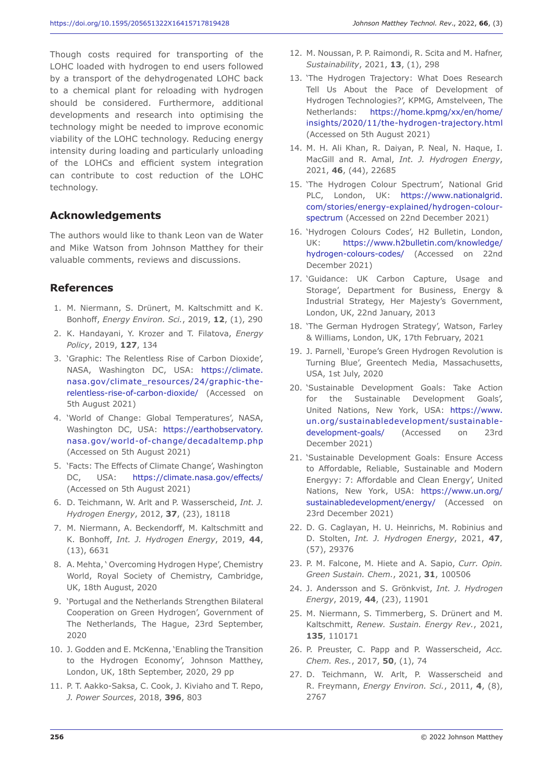Though costs required for transporting of the LOHC loaded with hydrogen to end users followed by a transport of the dehydrogenated LOHC back to a chemical plant for reloading with hydrogen should be considered. Furthermore, additional developments and research into optimising the technology might be needed to improve economic viability of the LOHC technology. Reducing energy intensity during loading and particularly unloading of the LOHCs and efficient system integration can contribute to cost reduction of the LOHC technology.

# **Acknowledgements**

The authors would like to thank Leon van de Water and Mike Watson from Johnson Matthey for their valuable comments, reviews and discussions.

#### **References**

- 1. M. Niermann, S. Drünert, M. Kaltschmitt and K. Bonhoff, *Energy Environ. Sci.*, 2019, **12**, (1), 290
- 2. K. Handayani, Y. Krozer and T. Filatova, *Energy Policy*, 2019, **127**, 134
- 3. 'Graphic: The Relentless Rise of Carbon Dioxide', NASA, Washington DC, USA: https://climate. nasa.gov/climate\_resources/24/graphic-therelentless-rise-of-carbon-dioxide/ (Accessed on 5th August 2021)
- 4. 'World of Change: Global Temperatures', NASA, Washington DC, USA: https://earthobservatory. nasa.gov/world-of-change/decadaltemp.php (Accessed on 5th August 2021)
- 5. 'Facts: The Effects of Climate Change', Washington DC, USA: https://climate.nasa.gov/effects/ (Accessed on 5th August 2021)
- 6. D. Teichmann, W. Arlt and P. Wasserscheid, *Int. J. Hydrogen Energy*, 2012, **37**, (23), 18118
- 7. M. Niermann, A. Beckendorff, M. Kaltschmitt and K. Bonhoff, *Int. J. Hydrogen Energy*, 2019, **44**, (13), 6631
- 8. A. Mehta, ' Overcoming Hydrogen Hype', Chemistry World, Royal Society of Chemistry, Cambridge, UK, 18th August, 2020
- 9. 'Portugal and the Netherlands Strengthen Bilateral Cooperation on Green Hydrogen', Government of The Netherlands, The Hague, 23rd September, 2020
- 10. J. Godden and E. McKenna, 'Enabling the Transition to the Hydrogen Economy', Johnson Matthey, London, UK, 18th September, 2020, 29 pp
- 11. P. T. Aakko-Saksa, C. Cook, J. Kiviaho and T. Repo, *J. Power Sources*, 2018, **396**, 803
- 12. M. Noussan, P. P. Raimondi, R. Scita and M. Hafner, *Sustainability*, 2021, **13**, (1), 298
- 13. 'The Hydrogen Trajectory: What Does Research Tell Us About the Pace of Development of Hydrogen Technologies?', KPMG, Amstelveen, The Netherlands: https://home.kpmg/xx/en/home/ insights/2020/11/the-hydrogen-trajectory.html (Accessed on 5th August 2021)
- 14. M. H. Ali Khan, R. Daiyan, P. Neal, N. Haque, I. MacGill and R. Amal, *Int. J. Hydrogen Energy*, 2021, **46**, (44), 22685
- 15. 'The Hydrogen Colour Spectrum', National Grid PLC, London, UK: https://www.nationalgrid. com/stories/energy-explained/hydrogen-colourspectrum (Accessed on 22nd December 2021)
- 16. 'Hydrogen Colours Codes', H2 Bulletin, London, UK: https://www.h2bulletin.com/knowledge/ hydrogen-colours-codes/ (Accessed on 22nd December 2021)
- 17. 'Guidance: UK Carbon Capture, Usage and Storage', Department for Business, Energy & Industrial Strategy, Her Majesty's Government, London, UK, 22nd January, 2013
- 18. 'The German Hydrogen Strategy', Watson, Farley & Williams, London, UK, 17th February, 2021
- 19. J. Parnell, 'Europe's Green Hydrogen Revolution is Turning Blue', Greentech Media, Massachusetts, USA, 1st July, 2020
- 20. 'Sustainable Development Goals: Take Action for the Sustainable Development Goals', United Nations, New York, USA: https://www. un.org/sustainabledevelopment/sustainabledevelopment-goals/ (Accessed on 23rd December 2021)
- 21. 'Sustainable Development Goals: Ensure Access to Affordable, Reliable, Sustainable and Modern Energyy: 7: Affordable and Clean Energy', United Nations, New York, USA: https://www.un.org/ sustainabledevelopment/energy/ (Accessed on 23rd December 2021)
- 22. D. G. Caglayan, H. U. Heinrichs, M. Robinius and D. Stolten, *Int. J. Hydrogen Energy*, 2021, **47**, (57), 29376
- 23. P. M. Falcone, M. Hiete and A. Sapio, *Curr. Opin. Green Sustain. Chem.*, 2021, **31**, 100506
- 24. J. Andersson and S. Grönkvist, *Int. J. Hydrogen Energy*, 2019, **44**, (23), 11901
- 25. M. Niermann, S. Timmerberg, S. Drünert and M. Kaltschmitt, *Renew. Sustain. Energy Rev.*, 2021, **135**, 110171
- 26. P. Preuster, C. Papp and P. Wasserscheid, *Acc. Chem. Res.*, 2017, **50**, (1), 74
- 27. D. Teichmann, W. Arlt, P. Wasserscheid and R. Freymann, *Energy Environ. Sci.*, 2011, **4**, (8), 2767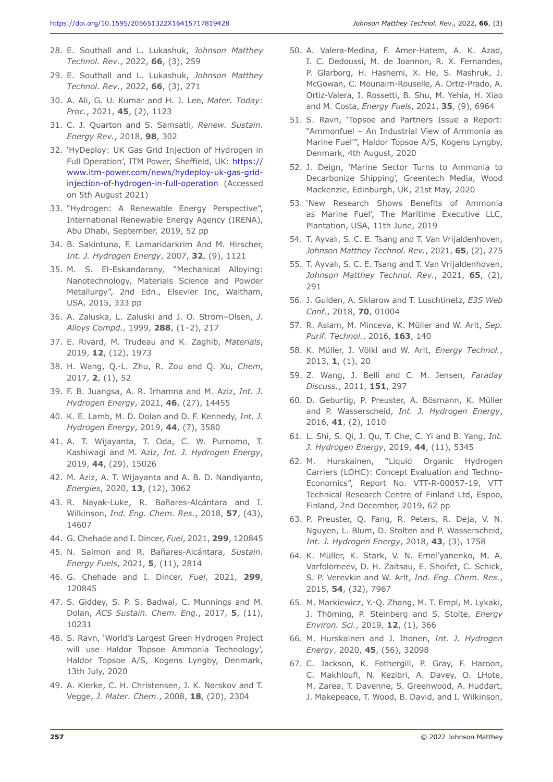- 28. E. Southall and L. Lukashuk, *Johnson Matthey Technol. Rev.*, 2022, **66**, (3), 259
- 29. E. Southall and L. Lukashuk, *Johnson Matthey Technol. Rev.*, 2022, **66**, (3), 271
- 30. A. Ali, G. U. Kumar and H. J. Lee, *Mater. Today: Proc.*, 2021, **45**, (2), 1123
- 31. C. J. Quarton and S. Samsatli, *Renew. Sustain. Energy Rev.*, 2018, **98**, 302
- 32. 'HyDeploy: UK Gas Grid Injection of Hydrogen in Full Operation', ITM Power, Sheffield, UK: https:// www.itm-power.com/news/hydeploy-uk-gas-gridinjection-of-hydrogen-in-full-operation (Accessed on 5th August 2021)
- 33. "Hydrogen: A Renewable Energy Perspective", International Renewable Energy Agency (IRENA), Abu Dhabi, September, 2019, 52 pp
- 34. B. Sakintuna, F. Lamaridarkrim And M. Hirscher, *Int. J. Hydrogen Energy*, 2007, **32**, (9), 1121
- 35. M. S. El-Eskandarany, "Mechanical Alloying: Nanotechnology, Materials Science and Powder Metallurgy", 2nd Edn., Elsevier Inc, Waltham, USA, 2015, 333 pp
- 36. A. Zaluska, L. Zaluski and J. O. Ström–Olsen, *J. Alloys Compd.*, 1999, **288**, (1–2), 217
- 37. E. Rivard, M. Trudeau and K. Zaghib, *Materials*, 2019, **12**, (12), 1973
- 38. H. Wang, Q.-L. Zhu, R. Zou and Q. Xu, *Chem*, 2017, **2**, (1), 52
- 39. F. B. Juangsa, A. R. Irhamna and M. Aziz, *Int. J. Hydrogen Energy*, 2021, **46**, (27), 14455
- 40. K. E. Lamb, M. D. Dolan and D. F. Kennedy, *Int. J. Hydrogen Energy*, 2019, **44**, (7), 3580
- 41. A. T. Wijayanta, T. Oda, C. W. Purnomo, T. Kashiwagi and M. Aziz, *Int. J. Hydrogen Energy*, 2019, **44**, (29), 15026
- 42. M. Aziz, A. T. Wijayanta and A. B. D. Nandiyanto, *Energies*, 2020, **13**, (12), 3062
- 43. R. Nayak-Luke, R. Bañares-Alcántara and I. Wilkinson, *Ind. Eng. Chem. Res.*, 2018, **57**, (43), 14607
- 44. G. Chehade and I. Dincer, *Fuel*, 2021, **299**, 120845
- 45. N. Salmon and R. Bañares-Alcántara, *Sustain. Energy Fuels*, 2021, **5**, (11), 2814
- 46. G. Chehade and I. Dincer, *Fuel*, 2021, **299**, 120845
- 47. S. Giddey, S. P. S. Badwal, C. Munnings and M. Dolan, *ACS Sustain. Chem. Eng.*, 2017, **5**, (11), 10231
- 48. S. Ravn, 'World's Largest Green Hydrogen Project will use Haldor Topsoe Ammonia Technology', Haldor Topsoe A/S, Kogens Lyngby, Denmark, 13th July, 2020
- 49. A. Klerke, C. H. Christensen, J. K. Nørskov and T. Vegge, *J. Mater. Chem.*, 2008, **18**, (20), 2304
- 50. A. Valera-Medina, F. Amer-Hatem, A. K. Azad, I. C. Dedoussi, M. de Joannon, R. X. Fernandes, P. Glarborg, H. Hashemi, X. He, S. Mashruk, J. McGowan, C. Mounaim-Rouselle, A. Ortiz-Prado, A. Ortiz-Valera, I. Rossetti, B. Shu, M. Yehia, H. Xiao and M. Costa, *Energy Fuels*, 2021, **35**, (9), 6964
- 51. S. Ravn, 'Topsoe and Partners Issue a Report: "Ammonfuel – An Industrial View of Ammonia as Marine Fuel'", Haldor Topsoe A/S, Kogens Lyngby, Denmark, 4th August, 2020
- 52. J. Deign, 'Marine Sector Turns to Ammonia to Decarbonize Shipping', Greentech Media, Wood Mackenzie, Edinburgh, UK, 21st May, 2020
- 53. 'New Research Shows Benefits of Ammonia as Marine Fuel', The Maritime Executive LLC, Plantation, USA, 11th June, 2019
- 54. T. Ayvalı, S. C. E. Tsang and T. Van Vrijaldenhoven, *Johnson Matthey Technol. Rev.*, 2021, **65**, (2), 275
- 55. T. Ayvalı, S. C. E. Tsang and T. Van Vrijaldenhoven, *Johnson Matthey Technol. Rev.*, 2021, **65**, (2), 291
- 56. J. Gulden, A. Sklarow and T. Luschtinetz, *E3S Web Conf.*, 2018, **70**, 01004
- 57. R. Aslam, M. Minceva, K. Müller and W. Arlt, *Sep. Purif. Technol.*, 2016, **163**, 140
- 58. K. Müller, J. Völkl and W. Arlt, *Energy Technol.*, 2013, **1**, (1), 20
- 59. Z. Wang, J. Belli and C. M. Jensen, *Faraday Discuss.*, 2011, **151**, 297
- 60. D. Geburtig, P. Preuster, A. Bösmann, K. Müller and P. Wasserscheid, *Int. J. Hydrogen Energy*, 2016, **41**, (2), 1010
- 61. L. Shi, S. Qi, J. Qu, T. Che, C. Yi and B. Yang, *Int. J. Hydrogen Energy*, 2019, **44**, (11), 5345
- 62. M. Hurskainen, "Liquid Organic Hydrogen Carriers (LOHC): Concept Evaluation and Techno-Economics", Report No. VTT-R-00057-19, VTT Technical Research Centre of Finland Ltd, Espoo, Finland, 2nd December, 2019, 62 pp
- 63. P. Preuster, Q. Fang, R. Peters, R. Deja, V. N. Nguyen, L. Blum, D. Stolten and P. Wasserscheid, *Int. J. Hydrogen Energy*, 2018, **43**, (3), 1758
- 64. K. Müller, K. Stark, V. N. Emel'yanenko, M. A. Varfolomeev, D. H. Zaitsau, E. Shoifet, C. Schick, S. P. Verevkin and W. Arlt, *Ind. Eng. Chem. Res.*, 2015, **54**, (32), 7967
- 65. M. Markiewicz, Y.-Q. Zhang, M. T. Empl, M. Lykaki, J. Thöming, P. Steinberg and S. Stolte, *Energy Environ. Sci.*, 2019, **12**, (1), 366
- 66. M. Hurskainen and J. Ihonen, *Int. J. Hydrogen Energy*, 2020, **45**, (56), 32098
- 67. C. Jackson, K. Fothergill, P. Gray, F. Haroon, C. Makhloufi, N. Kezibri, A. Davey, O. LHote, M. Zarea, T. Davenne, S. Greenwood, A. Huddart, J. Makepeace, T. Wood, B. David, and I. Wilkinson,